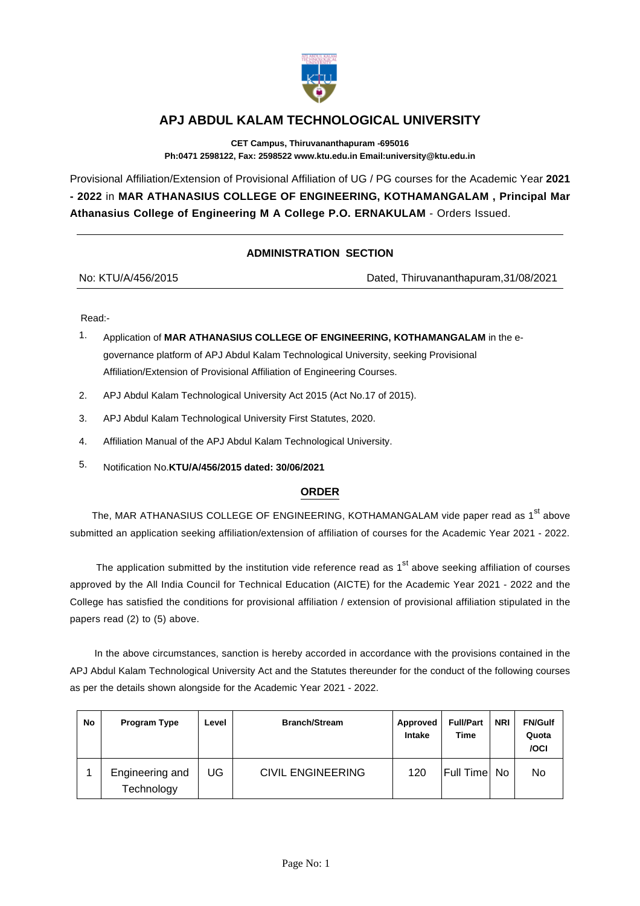

## **APJ ABDUL KALAM TECHNOLOGICAL UNIVERSITY**

**CET Campus, Thiruvananthapuram -695016 Ph:0471 2598122, Fax: 2598522 www.ktu.edu.in Email:university@ktu.edu.in**

Provisional Affiliation/Extension of Provisional Affiliation of UG / PG courses for the Academic Year **2021 - 2022** in **MAR ATHANASIUS COLLEGE OF ENGINEERING, KOTHAMANGALAM , Principal Mar Athanasius College of Engineering M A College P.O. ERNAKULAM** - Orders Issued.

## **ADMINISTRATION SECTION**

Dated, Thiruvananthapuram,31/08/2021

Read:-

- 1. Application of **MAR ATHANASIUS COLLEGE OF ENGINEERING, KOTHAMANGALAM** in the egovernance platform of APJ Abdul Kalam Technological University, seeking Provisional Affiliation/Extension of Provisional Affiliation of Engineering Courses.
- 2. APJ Abdul Kalam Technological University Act 2015 (Act No.17 of 2015).
- 3. APJ Abdul Kalam Technological University First Statutes, 2020.
- 4. Affiliation Manual of the APJ Abdul Kalam Technological University.
- 5. Notification No.**KTU/A/456/2015 dated: 30/06/2021**

## **ORDER**

The, MAR ATHANASIUS COLLEGE OF ENGINEERING, KOTHAMANGALAM vide paper read as 1<sup>st</sup> above submitted an application seeking affiliation/extension of affiliation of courses for the Academic Year 2021 - 2022.

The application submitted by the institution vide reference read as  $1<sup>st</sup>$  above seeking affiliation of courses approved by the All India Council for Technical Education (AICTE) for the Academic Year 2021 - 2022 and the College has satisfied the conditions for provisional affiliation / extension of provisional affiliation stipulated in the papers read (2) to (5) above.

 In the above circumstances, sanction is hereby accorded in accordance with the provisions contained in the APJ Abdul Kalam Technological University Act and the Statutes thereunder for the conduct of the following courses as per the details shown alongside for the Academic Year 2021 - 2022.

| No | Program Type                  | Level | <b>Branch/Stream</b>     | Approved<br><b>Intake</b> | <b>Full/Part</b><br><b>Time</b> | <b>NRI</b> | <b>FN/Gulf</b><br>Quota<br>/OCI |
|----|-------------------------------|-------|--------------------------|---------------------------|---------------------------------|------------|---------------------------------|
|    | Engineering and<br>Technology | JG    | <b>CIVIL ENGINEERING</b> | 120                       | Full Time                       | No.        | No                              |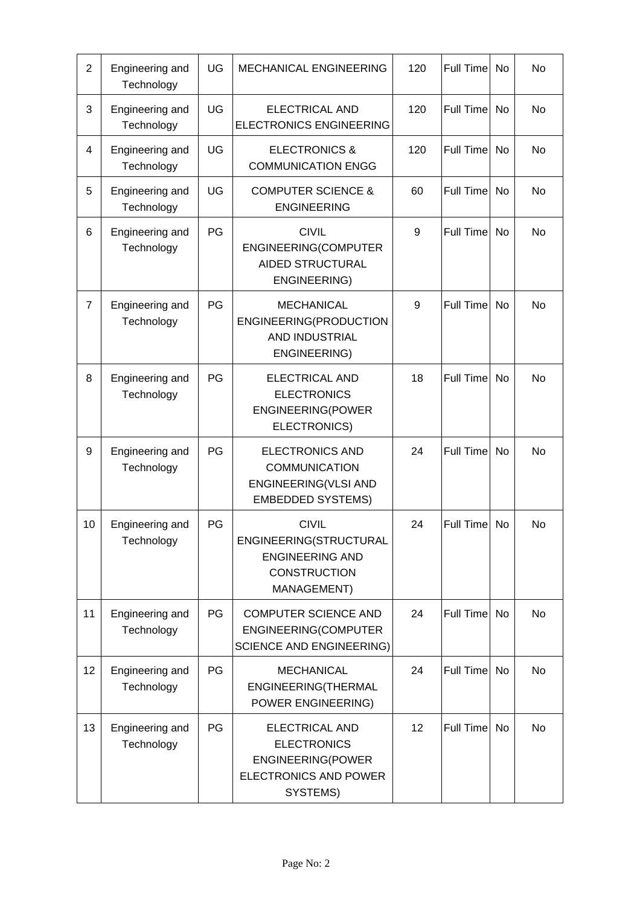| $\overline{2}$ | Engineering and<br>Technology | UG | MECHANICAL ENGINEERING                                                                                              | 120 | Full Time        | <b>No</b> | <b>No</b> |
|----------------|-------------------------------|----|---------------------------------------------------------------------------------------------------------------------|-----|------------------|-----------|-----------|
| 3              | Engineering and<br>Technology | UG | <b>ELECTRICAL AND</b><br><b>ELECTRONICS ENGINEERING</b>                                                             | 120 | <b>Full Time</b> | <b>No</b> | <b>No</b> |
| 4              | Engineering and<br>Technology | UG | <b>ELECTRONICS &amp;</b><br><b>COMMUNICATION ENGG</b>                                                               | 120 | Full Time        | No        | <b>No</b> |
| 5              | Engineering and<br>Technology | UG | <b>COMPUTER SCIENCE &amp;</b><br><b>ENGINEERING</b>                                                                 | 60  | <b>Full Time</b> | <b>No</b> | <b>No</b> |
| 6              | Engineering and<br>Technology | PG | <b>CIVIL</b><br>ENGINEERING(COMPUTER<br><b>AIDED STRUCTURAL</b><br>ENGINEERING)                                     | 9   | <b>Full Time</b> | No        | <b>No</b> |
| $\overline{7}$ | Engineering and<br>Technology | PG | <b>MECHANICAL</b><br>ENGINEERING(PRODUCTION<br>AND INDUSTRIAL<br>ENGINEERING)                                       | 9   | Full Time        | No        | <b>No</b> |
| 8              | Engineering and<br>Technology | PG | <b>ELECTRICAL AND</b><br><b>ELECTRONICS</b><br>ENGINEERING(POWER<br>ELECTRONICS)                                    | 18  | <b>Full Time</b> | <b>No</b> | <b>No</b> |
| 9              | Engineering and<br>Technology | PG | <b>ELECTRONICS AND</b><br><b>COMMUNICATION</b><br>ENGINEERING(VLSI AND<br><b>EMBEDDED SYSTEMS)</b>                  | 24  | Full Time        | <b>No</b> | <b>No</b> |
| 10             | Engineering and<br>Technology | PG | <b>CIVIL</b><br>ENGINEERING(STRUCTURAL<br><b>ENGINEERING AND</b><br><b>CONSTRUCTION</b><br>MANAGEMENT)              | 24  | Full Time        | No        | No        |
| 11             | Engineering and<br>Technology | PG | <b>COMPUTER SCIENCE AND</b><br>ENGINEERING(COMPUTER<br><b>SCIENCE AND ENGINEERING)</b>                              | 24  | <b>Full Time</b> | <b>No</b> | No        |
| 12             | Engineering and<br>Technology | PG | <b>MECHANICAL</b><br>ENGINEERING(THERMAL<br>POWER ENGINEERING)                                                      | 24  | Full Time        | No        | No        |
| 13             | Engineering and<br>Technology | PG | <b>ELECTRICAL AND</b><br><b>ELECTRONICS</b><br><b>ENGINEERING(POWER</b><br><b>ELECTRONICS AND POWER</b><br>SYSTEMS) | 12  | Full Time        | <b>No</b> | <b>No</b> |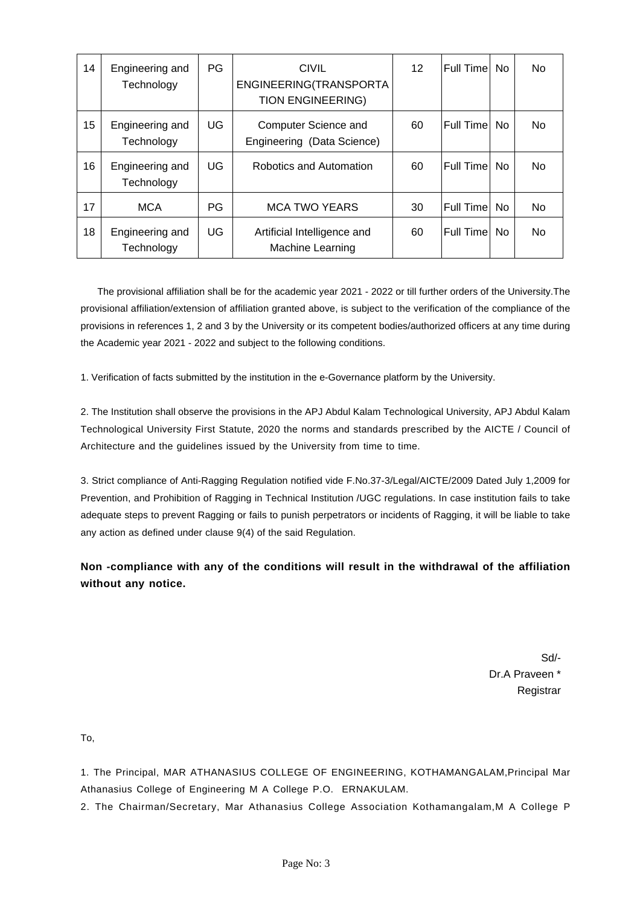| 14 | Engineering and<br>Technology | PG | <b>CIVIL</b><br>ENGINEERING(TRANSPORTA<br><b>TION ENGINEERING)</b> | 12 | Full Time    | No. | <b>No</b> |
|----|-------------------------------|----|--------------------------------------------------------------------|----|--------------|-----|-----------|
| 15 | Engineering and<br>Technology | UG | Computer Science and<br>Engineering (Data Science)                 | 60 | Full Time No |     | <b>No</b> |
| 16 | Engineering and<br>Technology | UG | Robotics and Automation                                            | 60 | Full Time    | No. | <b>No</b> |
| 17 | <b>MCA</b>                    | PG | <b>MCA TWO YEARS</b>                                               | 30 | Full Time No |     | <b>No</b> |
| 18 | Engineering and<br>Technology | UG | Artificial Intelligence and<br><b>Machine Learning</b>             | 60 | Full Time    | No. | <b>No</b> |

 The provisional affiliation shall be for the academic year 2021 - 2022 or till further orders of the University.The provisional affiliation/extension of affiliation granted above, is subject to the verification of the compliance of the provisions in references 1, 2 and 3 by the University or its competent bodies/authorized officers at any time during the Academic year 2021 - 2022 and subject to the following conditions.

1. Verification of facts submitted by the institution in the e-Governance platform by the University.

2. The Institution shall observe the provisions in the APJ Abdul Kalam Technological University, APJ Abdul Kalam Technological University First Statute, 2020 the norms and standards prescribed by the AICTE / Council of Architecture and the guidelines issued by the University from time to time.

3. Strict compliance of Anti-Ragging Regulation notified vide F.No.37-3/Legal/AICTE/2009 Dated July 1,2009 for Prevention, and Prohibition of Ragging in Technical Institution /UGC regulations. In case institution fails to take adequate steps to prevent Ragging or fails to punish perpetrators or incidents of Ragging, it will be liable to take any action as defined under clause 9(4) of the said Regulation.

**Non -compliance with any of the conditions will result in the withdrawal of the affiliation without any notice.**

> Sd/- Dr.A Praveen \* **Registrar**

To,

1. The Principal, MAR ATHANASIUS COLLEGE OF ENGINEERING, KOTHAMANGALAM,Principal Mar Athanasius College of Engineering M A College P.O. ERNAKULAM.

2. The Chairman/Secretary, Mar Athanasius College Association Kothamangalam,M A College P